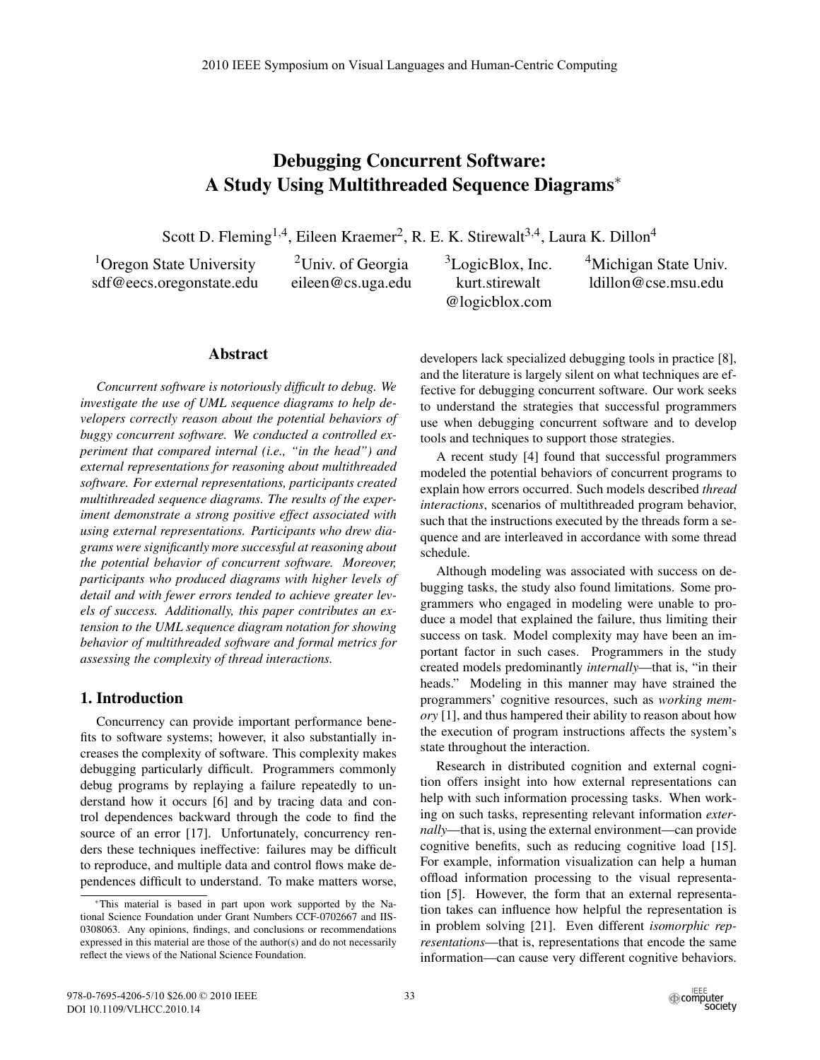# Debugging Concurrent Software: A Study Using Multithreaded Sequence Diagrams<sup>∗</sup>

Scott D. Fleming<sup>1,4</sup>, Eileen Kraemer<sup>2</sup>, R. E. K. Stirewalt<sup>3,4</sup>, Laura K. Dillon<sup>4</sup>

<sup>1</sup>Oregon State University sdf@eecs.oregonstate.edu

<sup>2</sup>Univ. of Georgia eileen@cs.uga.edu  ${}^{3}$ LogicBlox, Inc. kurt.stirewalt @logicblox.com

<sup>4</sup>Michigan State Univ. ldillon@cse.msu.edu

## Abstract

*Concurrent software is notoriously difficult to debug. We investigate the use of UML sequence diagrams to help developers correctly reason about the potential behaviors of buggy concurrent software. We conducted a controlled experiment that compared internal (i.e., "in the head") and external representations for reasoning about multithreaded software. For external representations, participants created multithreaded sequence diagrams. The results of the experiment demonstrate a strong positive effect associated with using external representations. Participants who drew diagrams were significantly more successful at reasoning about the potential behavior of concurrent software. Moreover, participants who produced diagrams with higher levels of detail and with fewer errors tended to achieve greater levels of success. Additionally, this paper contributes an extension to the UML sequence diagram notation for showing behavior of multithreaded software and formal metrics for assessing the complexity of thread interactions.*

## 1. Introduction

Concurrency can provide important performance benefits to software systems; however, it also substantially increases the complexity of software. This complexity makes debugging particularly difficult. Programmers commonly debug programs by replaying a failure repeatedly to understand how it occurs [6] and by tracing data and control dependences backward through the code to find the source of an error [17]. Unfortunately, concurrency renders these techniques ineffective: failures may be difficult to reproduce, and multiple data and control flows make dependences difficult to understand. To make matters worse,

developers lack specialized debugging tools in practice [8], and the literature is largely silent on what techniques are effective for debugging concurrent software. Our work seeks to understand the strategies that successful programmers use when debugging concurrent software and to develop tools and techniques to support those strategies.

A recent study [4] found that successful programmers modeled the potential behaviors of concurrent programs to explain how errors occurred. Such models described *thread interactions*, scenarios of multithreaded program behavior, such that the instructions executed by the threads form a sequence and are interleaved in accordance with some thread schedule.

Although modeling was associated with success on debugging tasks, the study also found limitations. Some programmers who engaged in modeling were unable to produce a model that explained the failure, thus limiting their success on task. Model complexity may have been an important factor in such cases. Programmers in the study created models predominantly *internally*—that is, "in their heads." Modeling in this manner may have strained the programmers' cognitive resources, such as *working memory* [1], and thus hampered their ability to reason about how the execution of program instructions affects the system's state throughout the interaction.

Research in distributed cognition and external cognition offers insight into how external representations can help with such information processing tasks. When working on such tasks, representing relevant information *externally*—that is, using the external environment—can provide cognitive benefits, such as reducing cognitive load [15]. For example, information visualization can help a human offload information processing to the visual representation [5]. However, the form that an external representation takes can influence how helpful the representation is in problem solving [21]. Even different *isomorphic representations*—that is, representations that encode the same information—can cause very different cognitive behaviors.

<sup>∗</sup>This material is based in part upon work supported by the National Science Foundation under Grant Numbers CCF-0702667 and IIS-0308063. Any opinions, findings, and conclusions or recommendations expressed in this material are those of the author(s) and do not necessarily reflect the views of the National Science Foundation.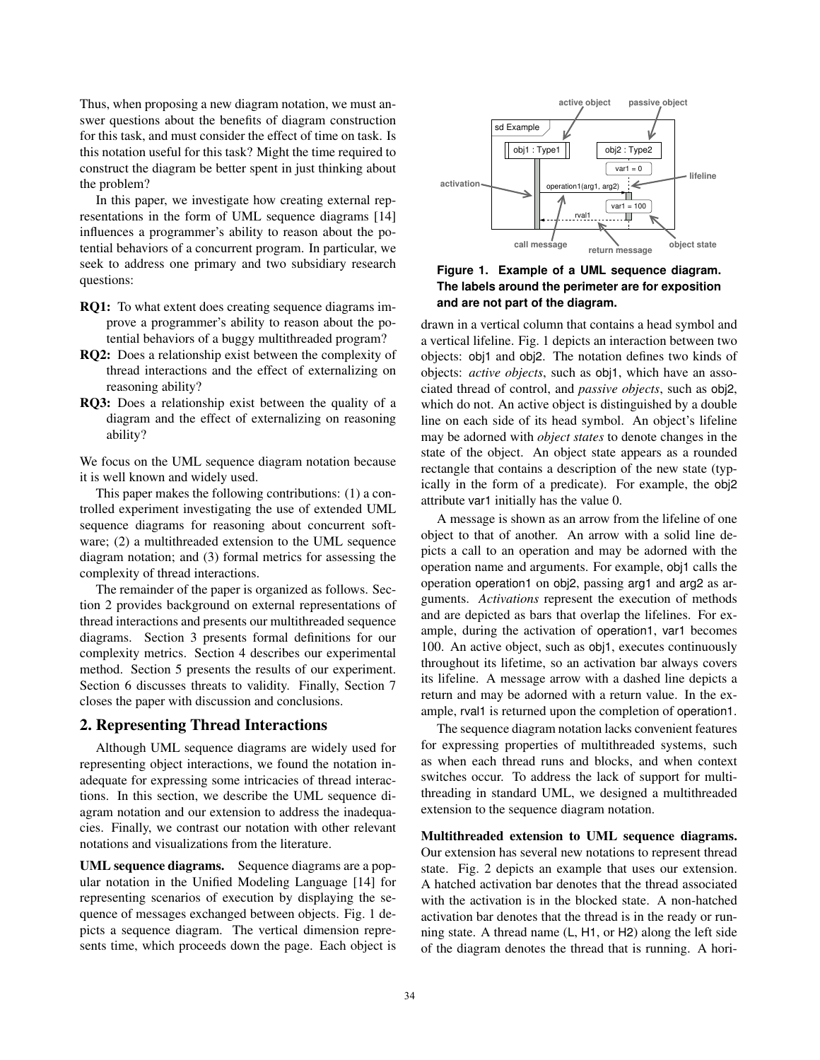Thus, when proposing a new diagram notation, we must answer questions about the benefits of diagram construction for this task, and must consider the effect of time on task. Is this notation useful for this task? Might the time required to construct the diagram be better spent in just thinking about the problem?

In this paper, we investigate how creating external representations in the form of UML sequence diagrams [14] influences a programmer's ability to reason about the potential behaviors of a concurrent program. In particular, we seek to address one primary and two subsidiary research questions:

- RQ1: To what extent does creating sequence diagrams improve a programmer's ability to reason about the potential behaviors of a buggy multithreaded program?
- RQ2: Does a relationship exist between the complexity of thread interactions and the effect of externalizing on reasoning ability?
- RQ3: Does a relationship exist between the quality of a diagram and the effect of externalizing on reasoning ability?

We focus on the UML sequence diagram notation because it is well known and widely used.

This paper makes the following contributions: (1) a controlled experiment investigating the use of extended UML sequence diagrams for reasoning about concurrent software; (2) a multithreaded extension to the UML sequence diagram notation; and (3) formal metrics for assessing the complexity of thread interactions.

The remainder of the paper is organized as follows. Section 2 provides background on external representations of thread interactions and presents our multithreaded sequence diagrams. Section 3 presents formal definitions for our complexity metrics. Section 4 describes our experimental method. Section 5 presents the results of our experiment. Section 6 discusses threats to validity. Finally, Section 7 closes the paper with discussion and conclusions.

#### 2. Representing Thread Interactions

Although UML sequence diagrams are widely used for representing object interactions, we found the notation inadequate for expressing some intricacies of thread interactions. In this section, we describe the UML sequence diagram notation and our extension to address the inadequacies. Finally, we contrast our notation with other relevant notations and visualizations from the literature.

UML sequence diagrams. Sequence diagrams are a popular notation in the Unified Modeling Language [14] for representing scenarios of execution by displaying the sequence of messages exchanged between objects. Fig. 1 depicts a sequence diagram. The vertical dimension represents time, which proceeds down the page. Each object is



**Figure 1. Example of a UML sequence diagram. The labels around the perimeter are for exposition and are not part of the diagram.**

drawn in a vertical column that contains a head symbol and a vertical lifeline. Fig. 1 depicts an interaction between two objects: obj1 and obj2. The notation defines two kinds of objects: *active objects*, such as obj1, which have an associated thread of control, and *passive objects*, such as obj2, which do not. An active object is distinguished by a double line on each side of its head symbol. An object's lifeline may be adorned with *object states* to denote changes in the state of the object. An object state appears as a rounded rectangle that contains a description of the new state (typically in the form of a predicate). For example, the obj2 attribute var1 initially has the value 0.

A message is shown as an arrow from the lifeline of one object to that of another. An arrow with a solid line depicts a call to an operation and may be adorned with the operation name and arguments. For example, obj1 calls the operation operation1 on obj2, passing arg1 and arg2 as arguments. *Activations* represent the execution of methods and are depicted as bars that overlap the lifelines. For example, during the activation of operation1, var1 becomes 100. An active object, such as obj1, executes continuously throughout its lifetime, so an activation bar always covers its lifeline. A message arrow with a dashed line depicts a return and may be adorned with a return value. In the example, rval1 is returned upon the completion of operation1.

The sequence diagram notation lacks convenient features for expressing properties of multithreaded systems, such as when each thread runs and blocks, and when context switches occur. To address the lack of support for multithreading in standard UML, we designed a multithreaded extension to the sequence diagram notation.

Multithreaded extension to UML sequence diagrams. Our extension has several new notations to represent thread state. Fig. 2 depicts an example that uses our extension. A hatched activation bar denotes that the thread associated with the activation is in the blocked state. A non-hatched activation bar denotes that the thread is in the ready or running state. A thread name (L, H1, or H2) along the left side of the diagram denotes the thread that is running. A hori-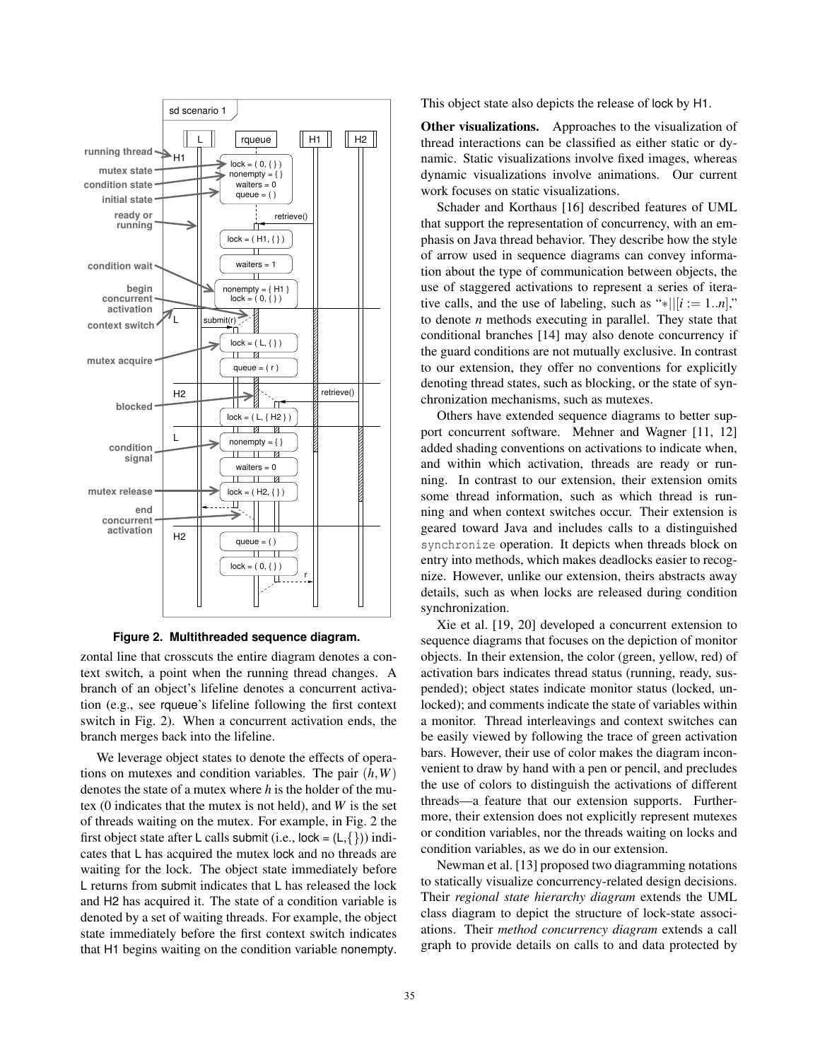

**Figure 2. Multithreaded sequence diagram.**

zontal line that crosscuts the entire diagram denotes a context switch, a point when the running thread changes. A branch of an object's lifeline denotes a concurrent activation (e.g., see rqueue's lifeline following the first context switch in Fig. 2). When a concurrent activation ends, the branch merges back into the lifeline.

We leverage object states to denote the effects of operations on mutexes and condition variables. The pair (*h*,*W*) denotes the state of a mutex where *h* is the holder of the mutex (0 indicates that the mutex is not held), and *W* is the set of threads waiting on the mutex. For example, in Fig. 2 the first object state after L calls submit (i.e., lock =  $(L, \{\})$ ) indicates that L has acquired the mutex lock and no threads are waiting for the lock. The object state immediately before L returns from submit indicates that L has released the lock and H2 has acquired it. The state of a condition variable is denoted by a set of waiting threads. For example, the object state immediately before the first context switch indicates that H1 begins waiting on the condition variable nonempty.

This object state also depicts the release of lock by H1.

**Other visualizations.** Approaches to the visualization of thread interactions can be classified as either static or dynamic. Static visualizations involve fixed images, whereas dynamic visualizations involve animations. Our current work focuses on static visualizations.

Schader and Korthaus [16] described features of UML that support the representation of concurrency, with an emphasis on Java thread behavior. They describe how the style of arrow used in sequence diagrams can convey information about the type of communication between objects, the use of staggered activations to represent a series of iterative calls, and the use of labeling, such as " $*||[i := 1..n]$ ," to denote *n* methods executing in parallel. They state that conditional branches [14] may also denote concurrency if the guard conditions are not mutually exclusive. In contrast to our extension, they offer no conventions for explicitly denoting thread states, such as blocking, or the state of synchronization mechanisms, such as mutexes.

Others have extended sequence diagrams to better support concurrent software. Mehner and Wagner [11, 12] added shading conventions on activations to indicate when, and within which activation, threads are ready or running. In contrast to our extension, their extension omits some thread information, such as which thread is running and when context switches occur. Their extension is geared toward Java and includes calls to a distinguished synchronize operation. It depicts when threads block on entry into methods, which makes deadlocks easier to recognize. However, unlike our extension, theirs abstracts away details, such as when locks are released during condition synchronization.

Xie et al. [19, 20] developed a concurrent extension to sequence diagrams that focuses on the depiction of monitor objects. In their extension, the color (green, yellow, red) of activation bars indicates thread status (running, ready, suspended); object states indicate monitor status (locked, unlocked); and comments indicate the state of variables within a monitor. Thread interleavings and context switches can be easily viewed by following the trace of green activation bars. However, their use of color makes the diagram inconvenient to draw by hand with a pen or pencil, and precludes the use of colors to distinguish the activations of different threads—a feature that our extension supports. Furthermore, their extension does not explicitly represent mutexes or condition variables, nor the threads waiting on locks and condition variables, as we do in our extension.

Newman et al. [13] proposed two diagramming notations to statically visualize concurrency-related design decisions. Their *regional state hierarchy diagram* extends the UML class diagram to depict the structure of lock-state associations. Their *method concurrency diagram* extends a call graph to provide details on calls to and data protected by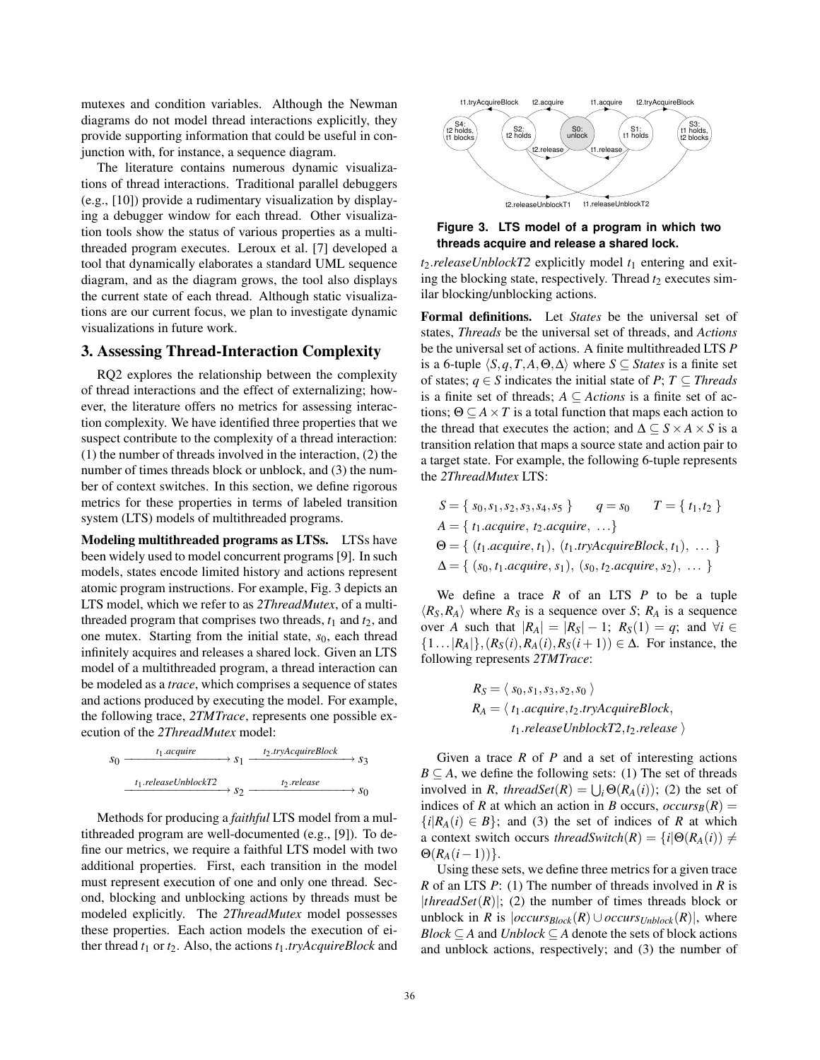mutexes and condition variables. Although the Newman diagrams do not model thread interactions explicitly, they provide supporting information that could be useful in conjunction with, for instance, a sequence diagram.

The literature contains numerous dynamic visualizations of thread interactions. Traditional parallel debuggers (e.g., [10]) provide a rudimentary visualization by displaying a debugger window for each thread. Other visualization tools show the status of various properties as a multithreaded program executes. Leroux et al. [7] developed a tool that dynamically elaborates a standard UML sequence diagram, and as the diagram grows, the tool also displays the current state of each thread. Although static visualizations are our current focus, we plan to investigate dynamic visualizations in future work.

## 3. Assessing Thread-Interaction Complexity

RQ2 explores the relationship between the complexity of thread interactions and the effect of externalizing; however, the literature offers no metrics for assessing interaction complexity. We have identified three properties that we suspect contribute to the complexity of a thread interaction: (1) the number of threads involved in the interaction, (2) the number of times threads block or unblock, and (3) the number of context switches. In this section, we define rigorous metrics for these properties in terms of labeled transition system (LTS) models of multithreaded programs.

Modeling multithreaded programs as LTSs. LTSs have been widely used to model concurrent programs [9]. In such models, states encode limited history and actions represent atomic program instructions. For example, Fig. 3 depicts an LTS model, which we refer to as *2ThreadMutex*, of a multithreaded program that comprises two threads,  $t_1$  and  $t_2$ , and one mutex. Starting from the initial state,  $s_0$ , each thread infinitely acquires and releases a shared lock. Given an LTS model of a multithreaded program, a thread interaction can be modeled as a *trace*, which comprises a sequence of states and actions produced by executing the model. For example, the following trace, *2TMTrace*, represents one possible execution of the *2ThreadMutex* model:



Methods for producing a *faithful* LTS model from a multithreaded program are well-documented (e.g., [9]). To define our metrics, we require a faithful LTS model with two additional properties. First, each transition in the model must represent execution of one and only one thread. Second, blocking and unblocking actions by threads must be modeled explicitly. The *2ThreadMutex* model possesses these properties. Each action models the execution of either thread *t*<sup>1</sup> or *t*2. Also, the actions *t*1.*tryAcquireBlock* and



**Figure 3. LTS model of a program in which two threads acquire and release a shared lock.**

*t*2.*releaseUnblockT2* explicitly model *t*<sup>1</sup> entering and exiting the blocking state, respectively. Thread  $t_2$  executes similar blocking/unblocking actions.

Formal definitions. Let *States* be the universal set of states, *Threads* be the universal set of threads, and *Actions* be the universal set of actions. A finite multithreaded LTS *P* is a 6-tuple  $\langle S, q, T, A, \Theta, \Delta \rangle$  where  $S \subseteq$  *States* is a finite set of states;  $q \in S$  indicates the initial state of  $P$ ;  $T \subseteq \text{Threads}$ is a finite set of threads; *A* ⊆ *Actions* is a finite set of actions;  $\Theta \subseteq A \times T$  is a total function that maps each action to the thread that executes the action; and  $\Delta \subseteq S \times A \times S$  is a transition relation that maps a source state and action pair to a target state. For example, the following 6-tuple represents the *2ThreadMutex* LTS:

$$
S = \{ s_0, s_1, s_2, s_3, s_4, s_5 \} \qquad q = s_0 \qquad T = \{ t_1, t_2 \} A = \{ t_1 \ldots acquire, t_2 \ldots \} \n\Theta = \{ (t_1 \ldots acquire, t_1), (t_1 \ldots acquireBlock, t_1), \ldots \} \n\Delta = \{ (s_0, t_1 \ldots acquire, s_1), (s_0, t_2 \ldots acquire, s_2), \ldots \}
$$

We define a trace *R* of an LTS *P* to be a tuple  $\langle R_S, R_A \rangle$  where  $R_S$  is a sequence over *S*;  $R_A$  is a sequence over *A* such that  $|R_A| = |R_S| - 1$ ;  $R_S(1) = q$ ; and  $\forall i \in \mathbb{Z}$  $\{1 \dots |R_A|\}, (R_S(i), R_A(i), R_S(i+1)) \in \Delta$ . For instance, the following represents *2TMTrace*:

$$
R_S = \langle s_0, s_1, s_3, s_2, s_0 \rangle
$$
  
\n
$$
R_A = \langle t_1 \text{.acquire}, t_2 \text{.tryAcquireBlock},
$$
  
\n
$$
t_1 \text{.release Unblock} T_2 \text{.release } \rangle
$$

Given a trace *R* of *P* and a set of interesting actions  $B \subseteq A$ , we define the following sets: (1) The set of threads involved in *R*, *threadSet*(*R*) =  $\bigcup_i \Theta(R_A(i))$ ; (2) the set of indices of *R* at which an action in *B* occurs,  $occurs<sub>B</sub>(R) =$  ${i | R_A(i) \in B}$ ; and (3) the set of indices of *R* at which a context switch occurs *threadSwitch*( $R$ ) = {*i*| $\Theta(R_A(i)) \neq$  $\Theta(R_A(i-1))$ .

Using these sets, we define three metrics for a given trace *R* of an LTS *P*: (1) The number of threads involved in *R* is  $|threadSet(R)|$ ; (2) the number of times threads block or unblock in *R* is  $|occurs_{Block}(R) \cup occurs_{Unblock}(R)|$ , where *Block*  $\subseteq$  *A* and *Unblock*  $\subseteq$  *A* denote the sets of block actions and unblock actions, respectively; and (3) the number of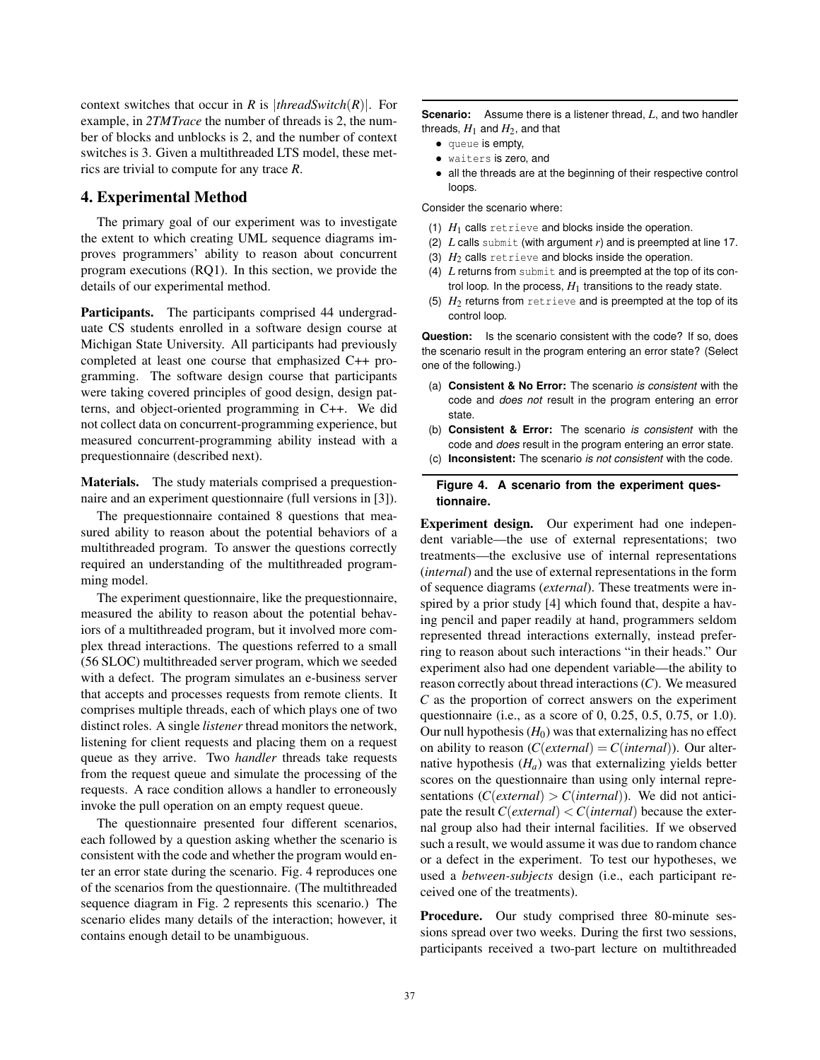context switches that occur in *R* is |*threadSwitch*(*R*)|. For example, in *2TMTrace* the number of threads is 2, the number of blocks and unblocks is 2, and the number of context switches is 3. Given a multithreaded LTS model, these metrics are trivial to compute for any trace *R*.

## 4. Experimental Method

The primary goal of our experiment was to investigate the extent to which creating UML sequence diagrams improves programmers' ability to reason about concurrent program executions (RQ1). In this section, we provide the details of our experimental method.

Participants. The participants comprised 44 undergraduate CS students enrolled in a software design course at Michigan State University. All participants had previously completed at least one course that emphasized C++ programming. The software design course that participants were taking covered principles of good design, design patterns, and object-oriented programming in C++. We did not collect data on concurrent-programming experience, but measured concurrent-programming ability instead with a prequestionnaire (described next).

Materials. The study materials comprised a prequestionnaire and an experiment questionnaire (full versions in [3]).

The prequestionnaire contained 8 questions that measured ability to reason about the potential behaviors of a multithreaded program. To answer the questions correctly required an understanding of the multithreaded programming model.

The experiment questionnaire, like the prequestionnaire, measured the ability to reason about the potential behaviors of a multithreaded program, but it involved more complex thread interactions. The questions referred to a small (56 SLOC) multithreaded server program, which we seeded with a defect. The program simulates an e-business server that accepts and processes requests from remote clients. It comprises multiple threads, each of which plays one of two distinct roles. A single *listener* thread monitors the network, listening for client requests and placing them on a request queue as they arrive. Two *handler* threads take requests from the request queue and simulate the processing of the requests. A race condition allows a handler to erroneously invoke the pull operation on an empty request queue.

The questionnaire presented four different scenarios, each followed by a question asking whether the scenario is consistent with the code and whether the program would enter an error state during the scenario. Fig. 4 reproduces one of the scenarios from the questionnaire. (The multithreaded sequence diagram in Fig. 2 represents this scenario.) The scenario elides many details of the interaction; however, it contains enough detail to be unambiguous.

**Scenario:** Assume there is a listener thread, *L*, and two handler threads,  $H_1$  and  $H_2$ , and that

- queue is empty,
- waiters is zero, and
- all the threads are at the beginning of their respective control loops.

Consider the scenario where:

- (1) *H*<sup>1</sup> calls retrieve and blocks inside the operation.
- (2) *L* calls submit (with argument *r*) and is preempted at line 17.
- (3) *H*<sup>2</sup> calls retrieve and blocks inside the operation.
- (4) *L* returns from submit and is preempted at the top of its control loop. In the process,  $H_1$  transitions to the ready state.
- (5) *H*<sup>2</sup> returns from retrieve and is preempted at the top of its control loop.

**Question:** Is the scenario consistent with the code? If so, does the scenario result in the program entering an error state? (Select one of the following.)

- (a) **Consistent & No Error:** The scenario *is consistent* with the code and *does not* result in the program entering an error state.
- (b) **Consistent & Error:** The scenario *is consistent* with the code and *does* result in the program entering an error state.
- (c) **Inconsistent:** The scenario *is not consistent* with the code.

### **Figure 4. A scenario from the experiment questionnaire.**

Experiment design. Our experiment had one independent variable—the use of external representations; two treatments—the exclusive use of internal representations (*internal*) and the use of external representations in the form of sequence diagrams (*external*). These treatments were inspired by a prior study [4] which found that, despite a having pencil and paper readily at hand, programmers seldom represented thread interactions externally, instead preferring to reason about such interactions "in their heads." Our experiment also had one dependent variable—the ability to reason correctly about thread interactions (*C*). We measured *C* as the proportion of correct answers on the experiment questionnaire (i.e., as a score of 0, 0.25, 0.5, 0.75, or 1.0). Our null hypothesis  $(H_0)$  was that externalizing has no effect on ability to reason  $(C(external) = C(internal)$ ). Our alternative hypothesis  $(H_a)$  was that externalizing yields better scores on the questionnaire than using only internal representations ( $C$ (*external*) >  $C$ (*internal*)). We did not anticipate the result  $C(external) < C(internal)$  because the external group also had their internal facilities. If we observed such a result, we would assume it was due to random chance or a defect in the experiment. To test our hypotheses, we used a *between-subjects* design (i.e., each participant received one of the treatments).

Procedure. Our study comprised three 80-minute sessions spread over two weeks. During the first two sessions, participants received a two-part lecture on multithreaded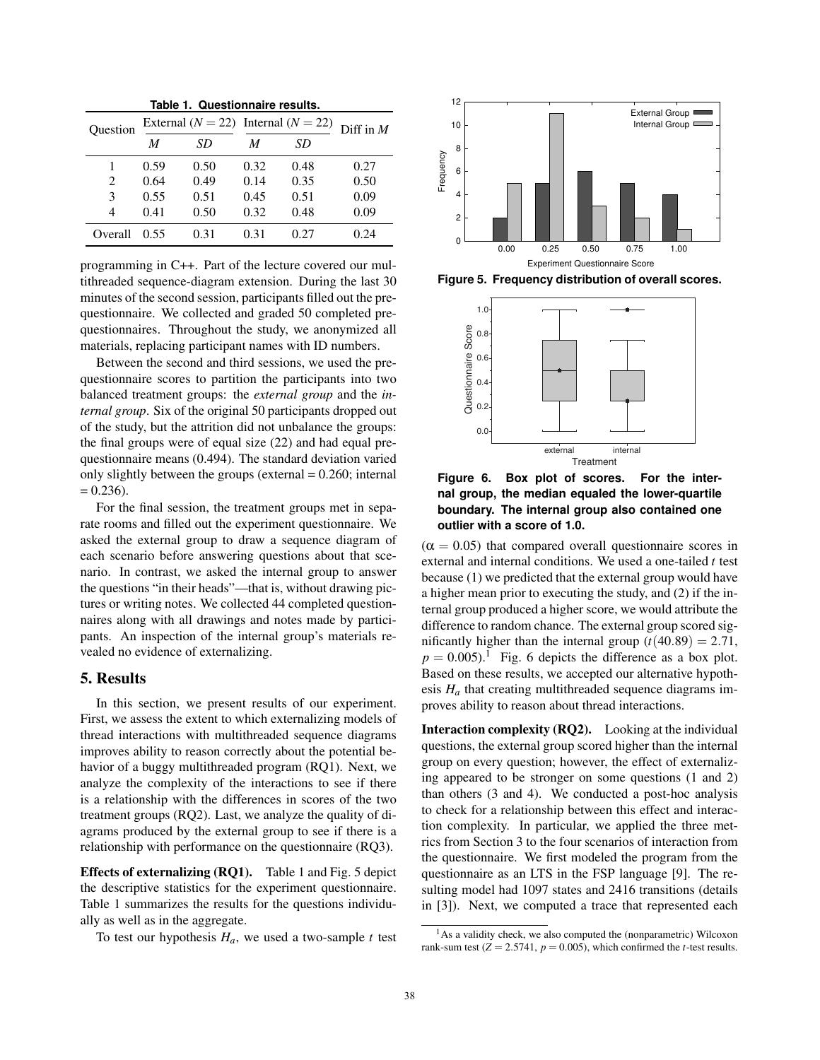**Table 1. Questionnaire results.**

| Ouestion                    | External $(N = 22)$ Internal $(N = 22)$ |      |      |      | Diff in $M$ |
|-----------------------------|-----------------------------------------|------|------|------|-------------|
|                             | M                                       | SD   |      | SD   |             |
|                             | 0.59                                    | 0.50 | 0.32 | 0.48 | 0.27        |
| $\mathcal{D}_{\mathcal{L}}$ | 0.64                                    | 0.49 | 0.14 | 0.35 | 0.50        |
| 3                           | 0.55                                    | 0.51 | 0.45 | 0.51 | 0.09        |
| 4                           | 0.41                                    | 0.50 | 0.32 | 0.48 | 0.09        |
| Overall                     | 0.55                                    | 0.31 | 0.31 | 0.27 | () 24       |

programming in C++. Part of the lecture covered our multithreaded sequence-diagram extension. During the last 30 minutes of the second session, participants filled out the prequestionnaire. We collected and graded 50 completed prequestionnaires. Throughout the study, we anonymized all materials, replacing participant names with ID numbers.

Between the second and third sessions, we used the prequestionnaire scores to partition the participants into two balanced treatment groups: the *external group* and the *internal group*. Six of the original 50 participants dropped out of the study, but the attrition did not unbalance the groups: the final groups were of equal size (22) and had equal prequestionnaire means (0.494). The standard deviation varied only slightly between the groups (external  $= 0.260$ ; internal  $= 0.236$ ).

For the final session, the treatment groups met in separate rooms and filled out the experiment questionnaire. We asked the external group to draw a sequence diagram of each scenario before answering questions about that scenario. In contrast, we asked the internal group to answer the questions "in their heads"—that is, without drawing pictures or writing notes. We collected 44 completed questionnaires along with all drawings and notes made by participants. An inspection of the internal group's materials revealed no evidence of externalizing.

#### 5. Results

In this section, we present results of our experiment. First, we assess the extent to which externalizing models of thread interactions with multithreaded sequence diagrams improves ability to reason correctly about the potential behavior of a buggy multithreaded program (RQ1). Next, we analyze the complexity of the interactions to see if there is a relationship with the differences in scores of the two treatment groups (RQ2). Last, we analyze the quality of diagrams produced by the external group to see if there is a relationship with performance on the questionnaire (RQ3).

Effects of externalizing (RQ1). Table 1 and Fig. 5 depict the descriptive statistics for the experiment questionnaire. Table 1 summarizes the results for the questions individually as well as in the aggregate.

To test our hypothesis  $H_a$ , we used a two-sample  $t$  test



**Figure 5. Frequency distribution of overall scores.**



**Figure 6. Box plot of scores. For the internal group, the median equaled the lower-quartile boundary. The internal group also contained one outlier with a score of 1.0.**

 $(\alpha = 0.05)$  that compared overall questionnaire scores in external and internal conditions. We used a one-tailed *t* test because (1) we predicted that the external group would have a higher mean prior to executing the study, and (2) if the internal group produced a higher score, we would attribute the difference to random chance. The external group scored significantly higher than the internal group  $(t(40.89) = 2.71$ ,  $p = 0.005$ .<sup>1</sup> Fig. 6 depicts the difference as a box plot. Based on these results, we accepted our alternative hypothesis  $H_a$  that creating multithreaded sequence diagrams improves ability to reason about thread interactions.

Interaction complexity (RQ2). Looking at the individual questions, the external group scored higher than the internal group on every question; however, the effect of externalizing appeared to be stronger on some questions (1 and 2) than others (3 and 4). We conducted a post-hoc analysis to check for a relationship between this effect and interaction complexity. In particular, we applied the three metrics from Section 3 to the four scenarios of interaction from the questionnaire. We first modeled the program from the questionnaire as an LTS in the FSP language [9]. The resulting model had 1097 states and 2416 transitions (details in [3]). Next, we computed a trace that represented each

<sup>1</sup>As a validity check, we also computed the (nonparametric) Wilcoxon rank-sum test  $(Z = 2.5741, p = 0.005)$ , which confirmed the *t*-test results.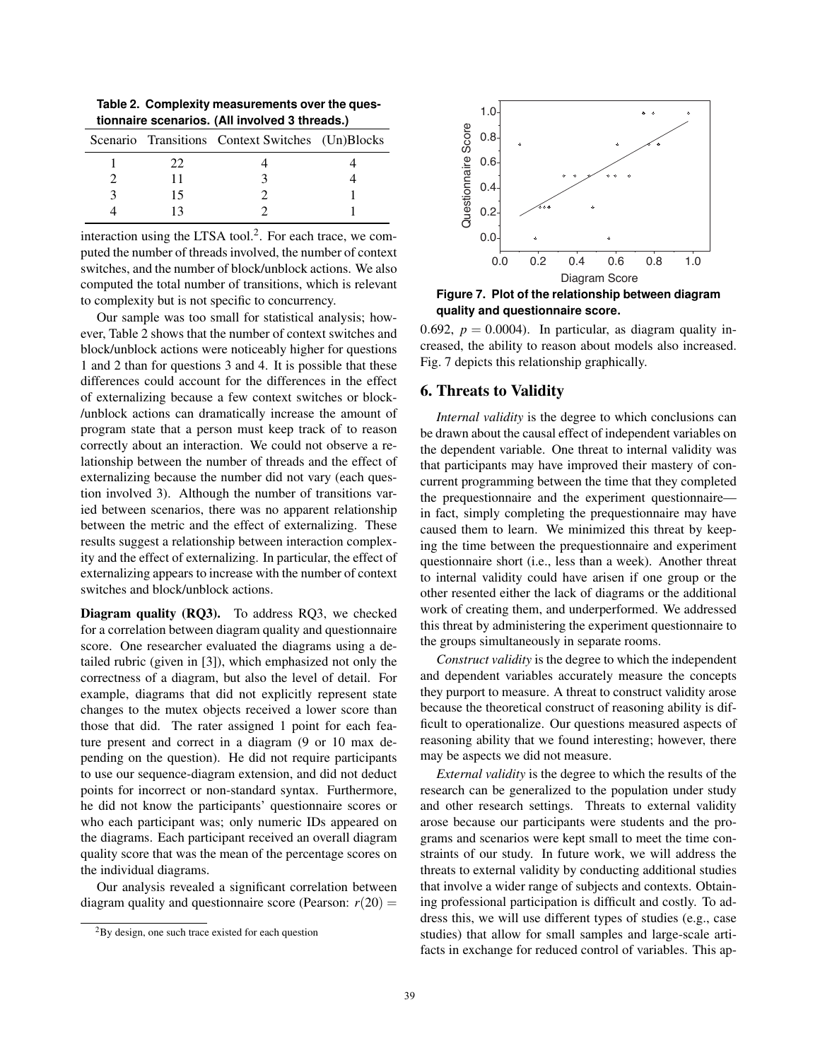**Table 2. Complexity measurements over the questionnaire scenarios. (All involved 3 threads.)**

|     | Scenario Transitions Context Switches (Un)Blocks |  |
|-----|--------------------------------------------------|--|
| 22. |                                                  |  |
|     |                                                  |  |
| 15  |                                                  |  |
|     |                                                  |  |

interaction using the LTSA tool.<sup>2</sup>. For each trace, we computed the number of threads involved, the number of context switches, and the number of block/unblock actions. We also computed the total number of transitions, which is relevant to complexity but is not specific to concurrency.

Our sample was too small for statistical analysis; however, Table 2 shows that the number of context switches and block/unblock actions were noticeably higher for questions 1 and 2 than for questions 3 and 4. It is possible that these differences could account for the differences in the effect of externalizing because a few context switches or block- /unblock actions can dramatically increase the amount of program state that a person must keep track of to reason correctly about an interaction. We could not observe a relationship between the number of threads and the effect of externalizing because the number did not vary (each question involved 3). Although the number of transitions varied between scenarios, there was no apparent relationship between the metric and the effect of externalizing. These results suggest a relationship between interaction complexity and the effect of externalizing. In particular, the effect of externalizing appears to increase with the number of context switches and block/unblock actions.

Diagram quality (RQ3). To address RQ3, we checked for a correlation between diagram quality and questionnaire score. One researcher evaluated the diagrams using a detailed rubric (given in [3]), which emphasized not only the correctness of a diagram, but also the level of detail. For example, diagrams that did not explicitly represent state changes to the mutex objects received a lower score than those that did. The rater assigned 1 point for each feature present and correct in a diagram (9 or 10 max depending on the question). He did not require participants to use our sequence-diagram extension, and did not deduct points for incorrect or non-standard syntax. Furthermore, he did not know the participants' questionnaire scores or who each participant was; only numeric IDs appeared on the diagrams. Each participant received an overall diagram quality score that was the mean of the percentage scores on the individual diagrams.

Our analysis revealed a significant correlation between diagram quality and questionnaire score (Pearson:  $r(20)$  =



**Figure 7. Plot of the relationship between diagram quality and questionnaire score.**

0.692,  $p = 0.0004$ ). In particular, as diagram quality increased, the ability to reason about models also increased. Fig. 7 depicts this relationship graphically.

### 6. Threats to Validity

*Internal validity* is the degree to which conclusions can be drawn about the causal effect of independent variables on the dependent variable. One threat to internal validity was that participants may have improved their mastery of concurrent programming between the time that they completed the prequestionnaire and the experiment questionnaire in fact, simply completing the prequestionnaire may have caused them to learn. We minimized this threat by keeping the time between the prequestionnaire and experiment questionnaire short (i.e., less than a week). Another threat to internal validity could have arisen if one group or the other resented either the lack of diagrams or the additional work of creating them, and underperformed. We addressed this threat by administering the experiment questionnaire to the groups simultaneously in separate rooms.

*Construct validity* is the degree to which the independent and dependent variables accurately measure the concepts they purport to measure. A threat to construct validity arose because the theoretical construct of reasoning ability is difficult to operationalize. Our questions measured aspects of reasoning ability that we found interesting; however, there may be aspects we did not measure.

*External validity* is the degree to which the results of the research can be generalized to the population under study and other research settings. Threats to external validity arose because our participants were students and the programs and scenarios were kept small to meet the time constraints of our study. In future work, we will address the threats to external validity by conducting additional studies that involve a wider range of subjects and contexts. Obtaining professional participation is difficult and costly. To address this, we will use different types of studies (e.g., case studies) that allow for small samples and large-scale artifacts in exchange for reduced control of variables. This ap-

<sup>2</sup>By design, one such trace existed for each question